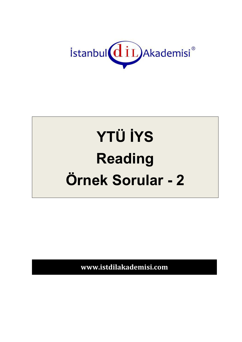

# **YTÜ İYS Reading** Örnek Sorular - 2

www.istdilakademisi.com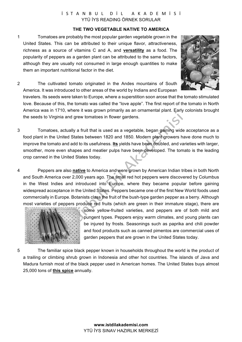## İSTANBUL DİL AKADEMİSİ YTÜ İYS READING ÖRNEK SORULAR

#### **THE TWO VEGETABLE NATIVE TO AMERICA**

1 Tomatoes are probably the most popular garden vegetable grown in the United States. This can be attributed to their unique flavor, attractiveness, richness as a source of vitamins C and A, and **versatility** as a food. The popularity of peppers as a garden plant can be attributed to the same factors, although they are usually not consumed in large enough quantities to make them an important nutritional factor in the diet.



2 The cultivated tomato originated in the Andes mountains of South America. It was introduced to other areas of the world by Indians and European

travelers. Its seeds were taken to Europe, where a superstition soon arose that the tomato stimulated love. Because of this, the tomato was called the "love apple". The first report of the tomato in North America was in 1710, where it was grown primarily as an ornamental plant. Early colonists brought the seeds to Virginia and grew tomatoes in flower gardens.

- 3 Tomatoes, actually a fruit that is used as a vegetable, began gaining wide acceptance as a food plant in the United States between 1820 and 1850. Modern plant growers have done much to improve the tomato and add to its usefulness. **Its** yields have been doubled, and varieties with larger, smoother, more even shapes and meatier pulps have been developed. The tomato is the leading crop canned in the United States today.
- 4 Peppers are also **native** to America and were grown by American Indian tribes in both North and South America over 2,000 years ago. The small red hot peppers were discovered by Columbus in the West Indies and introduced into Europe, where they became popular before gaining widespread acceptance in the United States. Peppers became one of the first New World foods used commercially in Europe. Botanists class the fruit of the bush-type garden pepper as a berry. Although most varieties of peppers produce red fruits (which are green in their immature stage), there are



some yellow-fruited varieties, and peppers are of both mild and pungent types. Peppers enjoy warm climates, and young plants can be injured by frosts. Seasonings such as paprika and chili powder and food products such as canned pimentos are commercial uses of garden peppers that are grown in the United States today.

5 The familiar spice black pepper known in households throughout the world is the product of a trailing or climbing shrub grown in Indonesia and other hot countries. The islands of Java and Madura furnish most of the black pepper used in American homes. The United States buys almost 25,000 tons of **this spice** annually.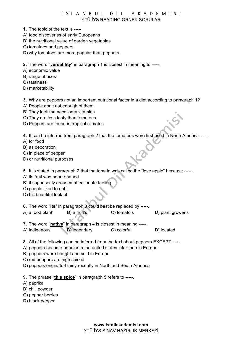İSTANBUL DİL AKADEMİSİ YTÜ İYS READING ÖRNEK SORULAR

- **1.** The topic of the text is -----.
- A) food discoveries of early Europeans
- B) the nutritional value of garden vegetables
- C) tomatoes and peppers
- D) why tomatoes are more popular than peppers

**2.** The word "**versatility**" in paragraph 1 is closest in meaning to -----.

- A) economic value
- B) range of uses
- C) tastiness
- D) marketability

**3.** Why are peppers not an important nutritional factor in a diet according to paragraph 1?

- A) People don't eat enough of them
- B) They lack the necessary vitamins
- C) They are less tasty than tomatoes
- D) Peppers are found in tropical climates

**4.** It can be inferred from paragraph 2 that the tomatoes were first used in North America -----.

- A) for food
- B) as decoration
- C) in place of pepper
- D) or nutritional purposes

**5.** It is stated in paragraph 2 that the tomato was called the "love apple" because -----.

- A) its fruit was heart-shaped
- B) it supposedly aroused affectionate feeling
- C) people liked to eat it
- D) t is beautiful look at

**6.** The word "**its**" in paragraph 3 could best be replaced by -----.

- A) a food plant' B) a fruit's C) tomato's D) plant grower's
- **7.** The word "**native**" in paragraph 4 is closest in meaning -----.
- A) indigenous B) legendary C) colorful D) located
- **8.** All of the following can be inferred from the text about peppers EXCEPT -----.
- A) peppers became popular in the united states later than in Europe
- B) peppers were bought and sold in Europe
- C) red peppers are high spiced
- D) peppers originated fairly recently in North and South America
- **9.** The phrase "**this spice**" in paragraph 5 refers to -----.
- A) paprika
- B) chili powder
- C) pepper berries
- D) black pepper